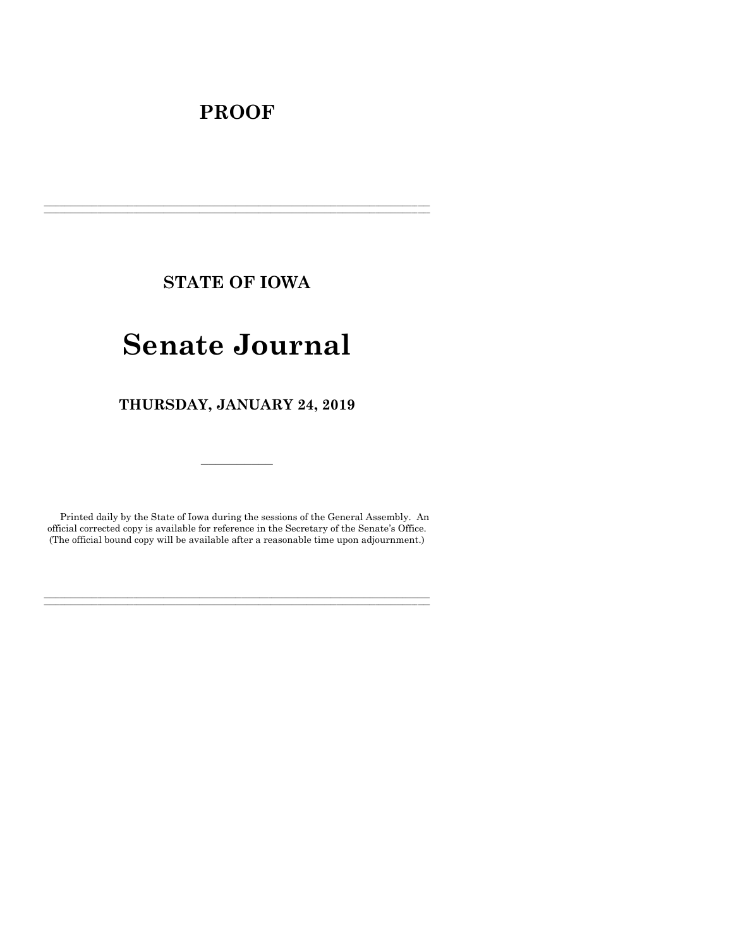# **PROOF**

**STATE OF IOWA**

**\_\_\_\_\_\_\_\_\_\_\_\_\_\_\_\_\_\_\_\_\_\_\_\_\_\_\_\_\_\_\_\_\_\_\_\_\_\_\_\_\_\_\_\_\_\_\_\_\_\_\_\_\_\_\_\_\_\_\_\_\_\_\_\_\_\_\_\_\_\_\_\_\_\_\_\_\_\_\_\_\_\_\_\_\_\_\_\_\_\_\_\_\_\_\_\_\_\_\_\_\_\_\_\_\_\_\_\_\_\_\_\_\_\_\_\_\_\_\_\_\_\_\_\_\_\_\_\_\_ \_\_\_\_\_\_\_\_\_\_\_\_\_\_\_\_\_\_\_\_\_\_\_\_\_\_\_\_\_\_\_\_\_\_\_\_\_\_\_\_\_\_\_\_\_\_\_\_\_\_\_\_\_\_\_\_\_\_\_\_\_\_\_\_\_\_\_\_\_\_\_\_\_\_\_\_\_\_\_\_\_\_\_\_\_\_\_\_\_\_\_\_\_\_\_\_\_\_\_\_\_\_\_\_\_\_\_\_\_\_\_\_\_\_\_\_\_\_\_\_\_\_\_\_\_\_\_\_\_**

# **Senate Journal**

**THURSDAY, JANUARY 24, 2019**

Printed daily by the State of Iowa during the sessions of the General Assembly. An official corrected copy is available for reference in the Secretary of the Senate's Office. (The official bound copy will be available after a reasonable time upon adjournment.)

**\_\_\_\_\_\_\_\_\_\_\_\_\_\_\_\_\_\_\_\_\_\_\_\_\_\_\_\_\_\_\_\_\_\_\_\_\_\_\_\_\_\_\_\_\_\_\_\_\_\_\_\_\_\_\_\_\_\_\_\_\_\_\_\_\_\_\_\_\_\_\_\_\_\_\_\_\_\_\_\_\_\_\_\_\_\_\_\_\_\_\_\_\_\_\_\_\_\_\_\_\_\_\_\_\_\_\_\_\_\_\_\_\_\_\_\_\_\_\_\_\_\_\_\_\_\_\_\_\_ \_\_\_\_\_\_\_\_\_\_\_\_\_\_\_\_\_\_\_\_\_\_\_\_\_\_\_\_\_\_\_\_\_\_\_\_\_\_\_\_\_\_\_\_\_\_\_\_\_\_\_\_\_\_\_\_\_\_\_\_\_\_\_\_\_\_\_\_\_\_\_\_\_\_\_\_\_\_\_\_\_\_\_\_\_\_\_\_\_\_\_\_\_\_\_\_\_\_\_\_\_\_\_\_\_\_\_\_\_\_\_\_\_\_\_\_\_\_\_\_\_\_\_\_\_\_\_\_\_**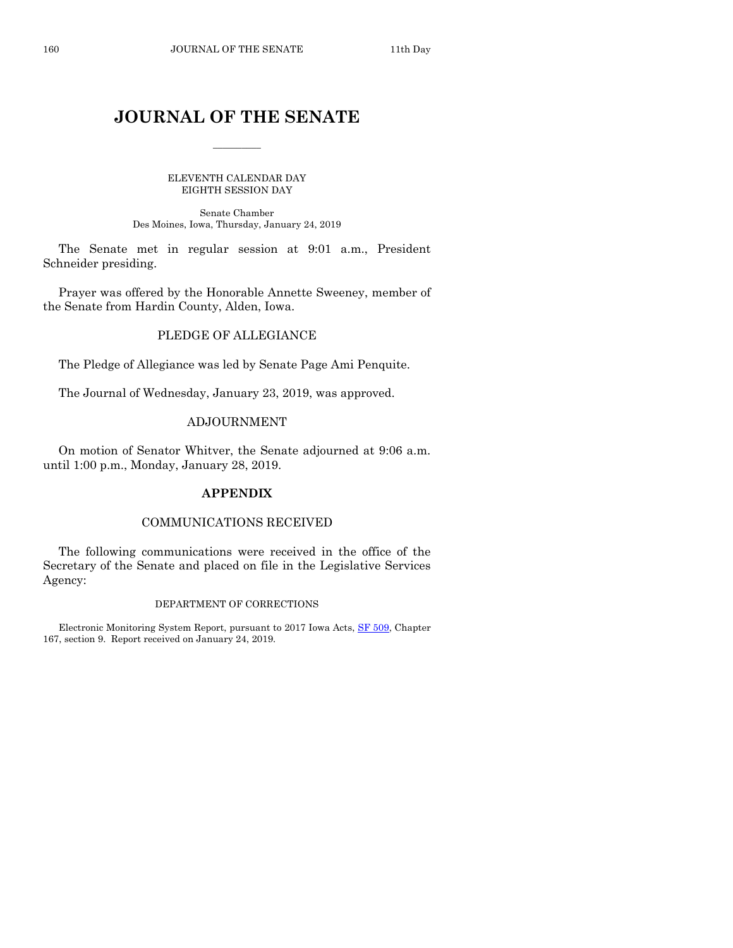## **JOURNAL OF THE SENATE**

 $\frac{1}{2}$ 

ELEVENTH CALENDAR DAY EIGHTH SESSION DAY

Senate Chamber Des Moines, Iowa, Thursday, January 24, 2019

The Senate met in regular session at 9:01 a.m., President Schneider presiding.

Prayer was offered by the Honorable Annette Sweeney, member of the Senate from Hardin County, Alden, Iowa.

## PLEDGE OF ALLEGIANCE

The Pledge of Allegiance was led by Senate Page Ami Penquite.

The Journal of Wednesday, January 23, 2019, was approved.

## ADJOURNMENT

On motion of Senator Whitver, the Senate adjourned at 9:06 a.m. until 1:00 p.m., Monday, January 28, 2019.

## **APPENDIX**

## COMMUNICATIONS RECEIVED

The following communications were received in the office of the Secretary of the Senate and placed on file in the Legislative Services Agency:

#### DEPARTMENT OF CORRECTIONS

Electronic Monitoring System Report, pursuant to 2017 Iowa Acts, [SF 509,](https://www.legis.iowa.gov/legislation/BillBook?ga=88&ba=SF509) Chapter 167, section 9. Report received on January 24, 2019.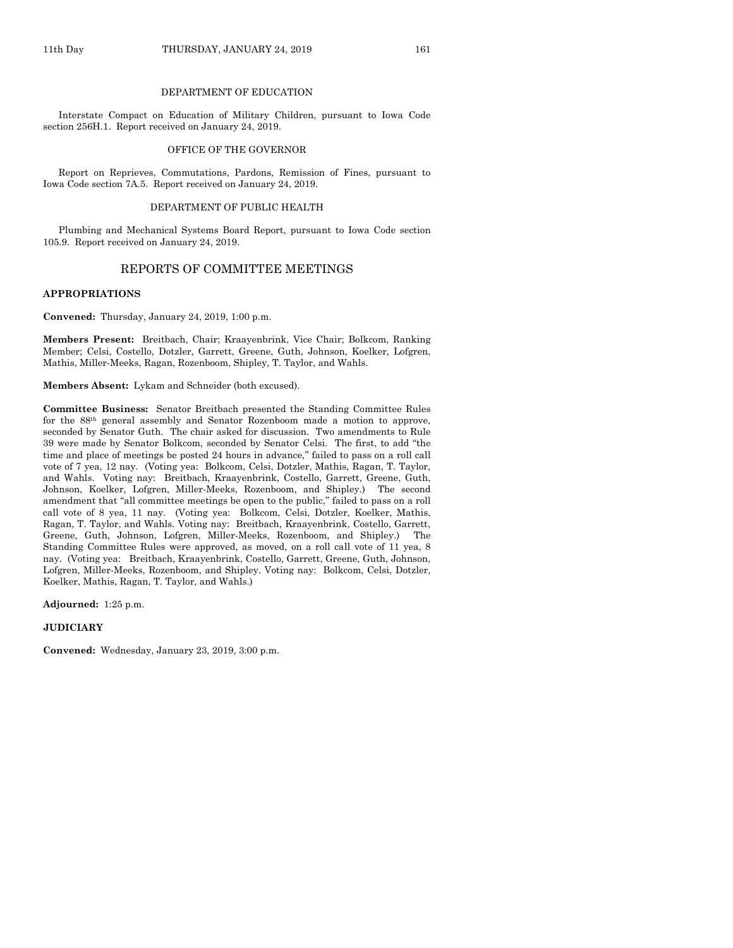#### DEPARTMENT OF EDUCATION

Interstate Compact on Education of Military Children, pursuant to Iowa Code section 256H.1. Report received on January 24, 2019.

#### OFFICE OF THE GOVERNOR

Report on Reprieves, Commutations, Pardons, Remission of Fines, pursuant to Iowa Code section 7A.5. Report received on January 24, 2019.

#### DEPARTMENT OF PUBLIC HEALTH

Plumbing and Mechanical Systems Board Report, pursuant to Iowa Code section 105.9. Report received on January 24, 2019.

## REPORTS OF COMMITTEE MEETINGS

#### **APPROPRIATIONS**

**Convened:** Thursday, January 24, 2019, 1:00 p.m.

**Members Present:** Breitbach, Chair; Kraayenbrink, Vice Chair; Bolkcom, Ranking Member; Celsi, Costello, Dotzler, Garrett, Greene, Guth, Johnson, Koelker, Lofgren, Mathis, Miller-Meeks, Ragan, Rozenboom, Shipley, T. Taylor, and Wahls.

**Members Absent:** Lykam and Schneider (both excused).

**Committee Business:** Senator Breitbach presented the Standing Committee Rules for the 88th general assembly and Senator Rozenboom made a motion to approve, seconded by Senator Guth. The chair asked for discussion. Two amendments to Rule 39 were made by Senator Bolkcom, seconded by Senator Celsi. The first, to add "the time and place of meetings be posted 24 hours in advance," failed to pass on a roll call vote of 7 yea, 12 nay. (Voting yea: Bolkcom, Celsi, Dotzler, Mathis, Ragan, T. Taylor, and Wahls. Voting nay: Breitbach, Kraayenbrink, Costello, Garrett, Greene, Guth, Johnson, Koelker, Lofgren, Miller-Meeks, Rozenboom, and Shipley.) The second amendment that "all committee meetings be open to the public," failed to pass on a roll call vote of 8 yea, 11 nay. (Voting yea: Bolkcom, Celsi, Dotzler, Koelker, Mathis, Ragan, T. Taylor, and Wahls. Voting nay: Breitbach, Kraayenbrink, Costello, Garrett, Greene, Guth, Johnson, Lofgren, Miller-Meeks, Rozenboom, and Shipley.) The Standing Committee Rules were approved, as moved, on a roll call vote of 11 yea, 8 nay. (Voting yea: Breitbach, Kraayenbrink, Costello, Garrett, Greene, Guth, Johnson, Lofgren, Miller-Meeks, Rozenboom, and Shipley. Voting nay: Bolkcom, Celsi, Dotzler, Koelker, Mathis, Ragan, T. Taylor, and Wahls.)

**Adjourned:** 1:25 p.m.

#### **JUDICIARY**

**Convened:** Wednesday, January 23, 2019, 3:00 p.m.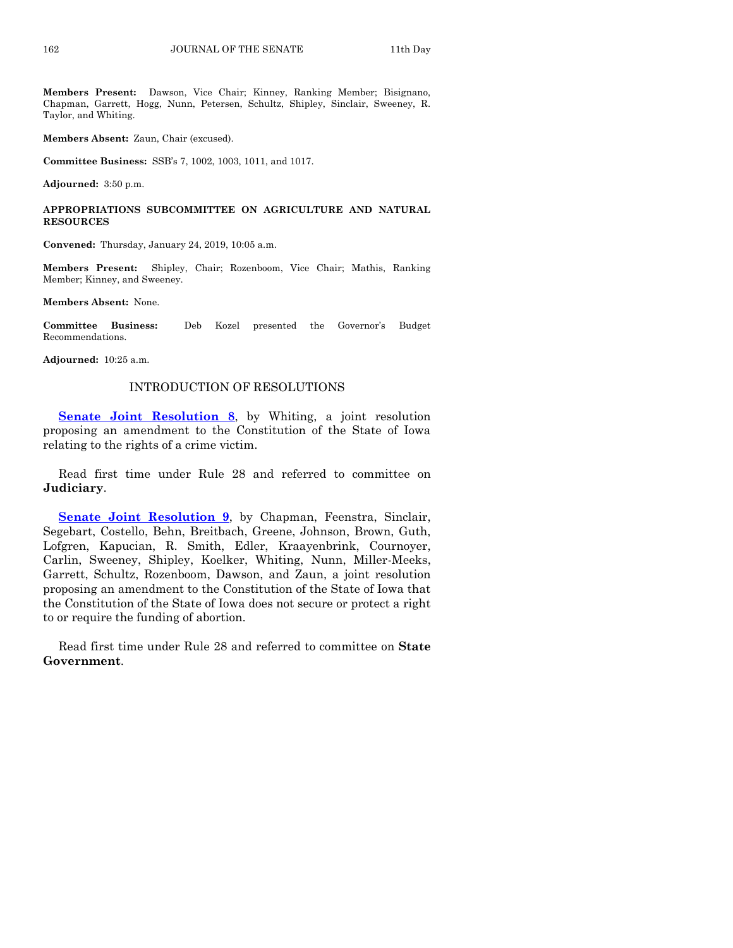**Members Present:** Dawson, Vice Chair; Kinney, Ranking Member; Bisignano, Chapman, Garrett, Hogg, Nunn, Petersen, Schultz, Shipley, Sinclair, Sweeney, R. Taylor, and Whiting.

**Members Absent:** Zaun, Chair (excused).

**Committee Business:** SSB's 7, 1002, 1003, 1011, and 1017.

**Adjourned:** 3:50 p.m.

**APPROPRIATIONS SUBCOMMITTEE ON AGRICULTURE AND NATURAL RESOURCES**

**Convened:** Thursday, January 24, 2019, 10:05 a.m.

**Members Present:** Shipley, Chair; Rozenboom, Vice Chair; Mathis, Ranking Member; Kinney, and Sweeney.

**Members Absent:** None.

**Committee Business:** Deb Kozel presented the Governor's Budget Recommendations.

**Adjourned:** 10:25 a.m.

## INTRODUCTION OF RESOLUTIONS

**[Senate Joint](https://www.legis.iowa.gov/legislation/BillBook?ga=88&ba=SJR8) Resolution 8**, by Whiting, a joint resolution proposing an amendment to the Constitution of the State of Iowa relating to the rights of a crime victim.

Read first time under Rule 28 and referred to committee on **Judiciary**.

**[Senate Joint Resolution 9](https://www.legis.iowa.gov/legislation/BillBook?ga=88&ba=SJR9)**, by Chapman, Feenstra, Sinclair, Segebart, Costello, Behn, Breitbach, Greene, Johnson, Brown, Guth, Lofgren, Kapucian, R. Smith, Edler, Kraayenbrink, Cournoyer, Carlin, Sweeney, Shipley, Koelker, Whiting, Nunn, Miller-Meeks, Garrett, Schultz, Rozenboom, Dawson, and Zaun, a joint resolution proposing an amendment to the Constitution of the State of Iowa that the Constitution of the State of Iowa does not secure or protect a right to or require the funding of abortion.

Read first time under Rule 28 and referred to committee on **State Government**.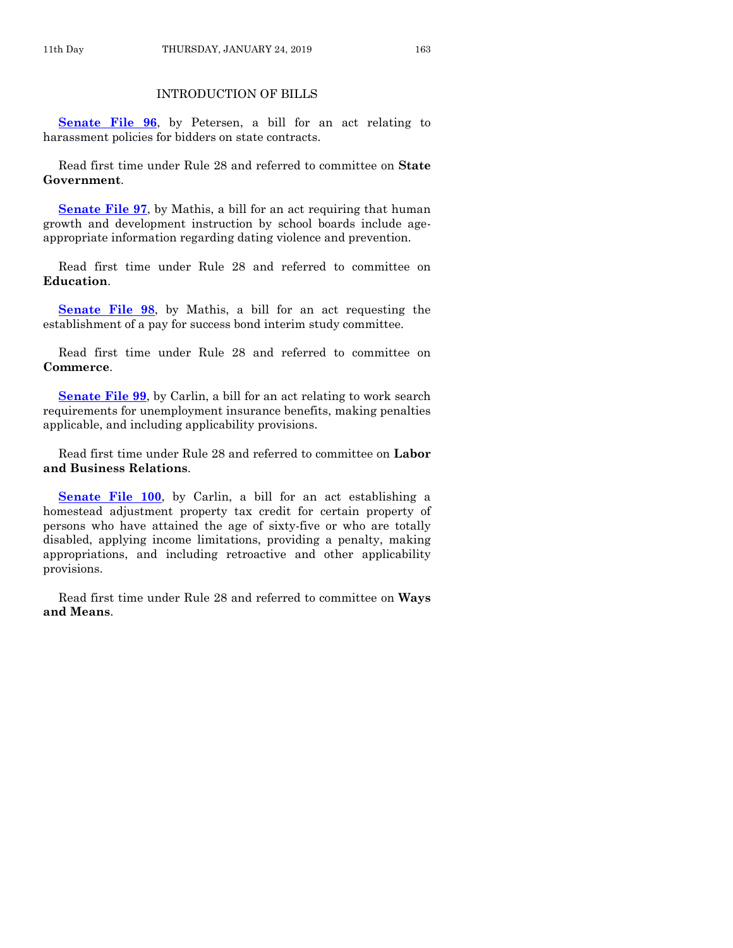## INTRODUCTION OF BILLS

**[Senate File 96](https://www.legis.iowa.gov/legislation/BillBook?ga=88&ba=SF96)**, by Petersen, a bill for an act relating to harassment policies for bidders on state contracts.

Read first time under Rule 28 and referred to committee on **State Government**.

**[Senate File 97](https://www.legis.iowa.gov/legislation/BillBook?ga=88&ba=SF97)**, by Mathis, a bill for an act requiring that human growth and development instruction by school boards include ageappropriate information regarding dating violence and prevention.

Read first time under Rule 28 and referred to committee on **Education**.

**[Senate File 98](https://www.legis.iowa.gov/legislation/BillBook?ga=88&ba=SF98)**, by Mathis, a bill for an act requesting the establishment of a pay for success bond interim study committee.

Read first time under Rule 28 and referred to committee on **Commerce**.

**[Senate File 99](https://www.legis.iowa.gov/legislation/BillBook?ga=88&ba=SF99)**, by Carlin, a bill for an act relating to work search requirements for unemployment insurance benefits, making penalties applicable, and including applicability provisions.

Read first time under Rule 28 and referred to committee on **Labor and Business Relations**.

**[Senate File 100](https://www.legis.iowa.gov/legislation/BillBook?ga=88&ba=SF100)**, by Carlin, a bill for an act establishing a homestead adjustment property tax credit for certain property of persons who have attained the age of sixty-five or who are totally disabled, applying income limitations, providing a penalty, making appropriations, and including retroactive and other applicability provisions.

Read first time under Rule 28 and referred to committee on **Ways and Means**.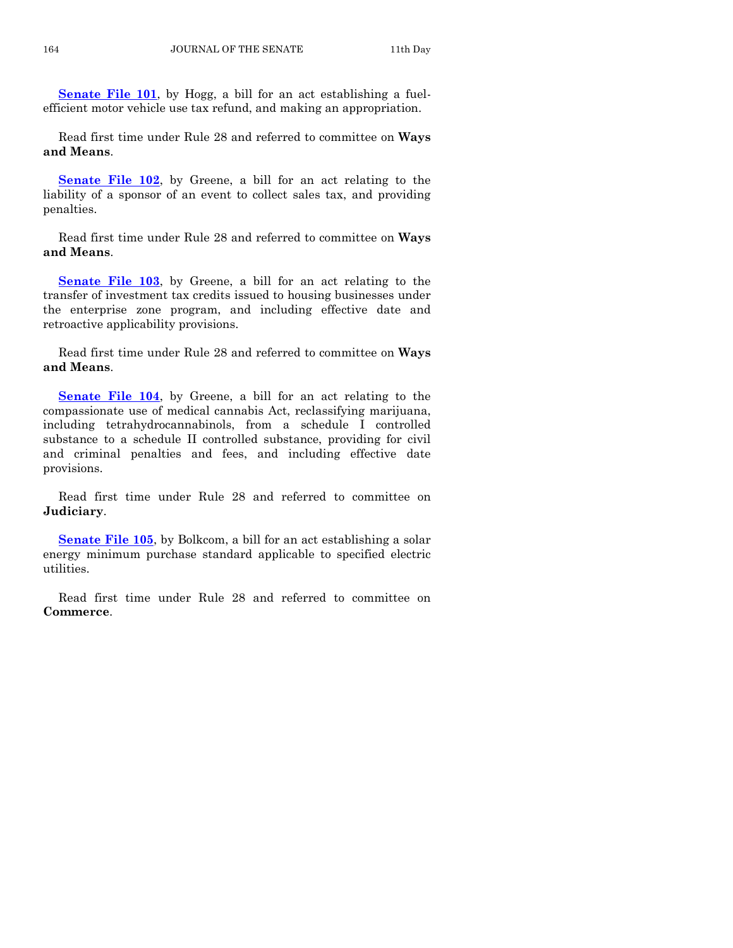**[Senate File 101](https://www.legis.iowa.gov/legislation/BillBook?ga=88&ba=SF101)**, by Hogg, a bill for an act establishing a fuelefficient motor vehicle use tax refund, and making an appropriation.

Read first time under Rule 28 and referred to committee on **Ways and Means**.

**[Senate File 102](https://www.legis.iowa.gov/legislation/BillBook?ga=88&ba=SF102)**, by Greene, a bill for an act relating to the liability of a sponsor of an event to collect sales tax, and providing penalties.

Read first time under Rule 28 and referred to committee on **Ways and Means**.

**[Senate File 103](https://www.legis.iowa.gov/legislation/BillBook?ga=88&ba=SF103)**, by Greene, a bill for an act relating to the transfer of investment tax credits issued to housing businesses under the enterprise zone program, and including effective date and retroactive applicability provisions.

Read first time under Rule 28 and referred to committee on **Ways and Means**.

**[Senate File 104](https://www.legis.iowa.gov/legislation/BillBook?ga=88&ba=SF104)**, by Greene, a bill for an act relating to the compassionate use of medical cannabis Act, reclassifying marijuana, including tetrahydrocannabinols, from a schedule I controlled substance to a schedule II controlled substance, providing for civil and criminal penalties and fees, and including effective date provisions.

Read first time under Rule 28 and referred to committee on **Judiciary**.

**[Senate File 105](https://www.legis.iowa.gov/legislation/BillBook?ga=88&ba=SF105)**, by Bolkcom, a bill for an act establishing a solar energy minimum purchase standard applicable to specified electric utilities.

Read first time under Rule 28 and referred to committee on **Commerce**.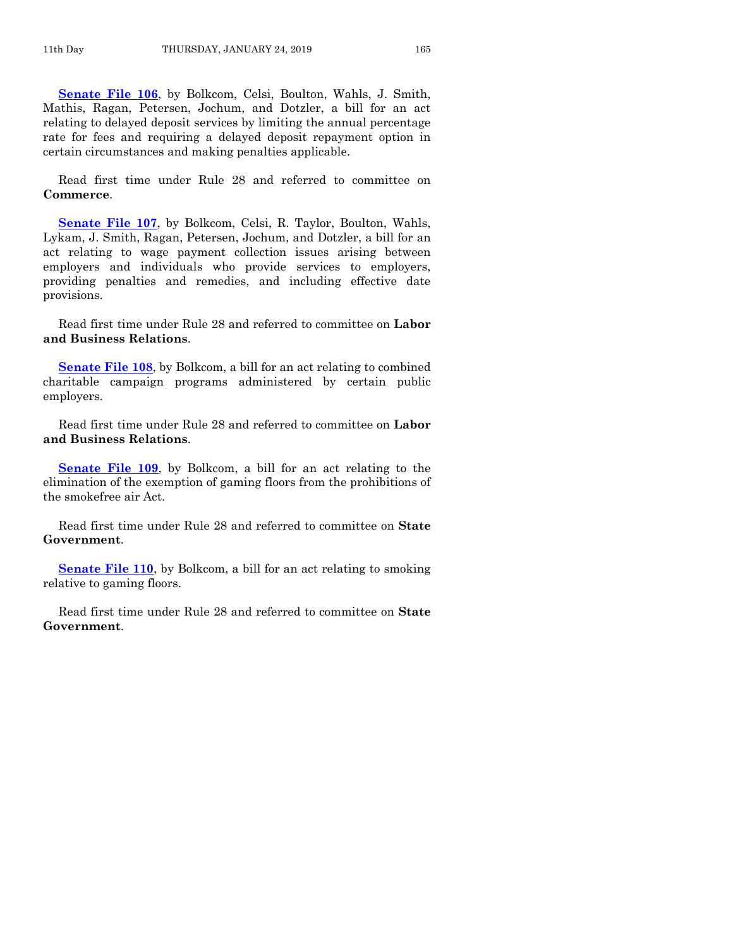**[Senate File 106](https://www.legis.iowa.gov/legislation/BillBook?ga=88&ba=SF106)**, by Bolkcom, Celsi, Boulton, Wahls, J. Smith, Mathis, Ragan, Petersen, Jochum, and Dotzler, a bill for an act relating to delayed deposit services by limiting the annual percentage rate for fees and requiring a delayed deposit repayment option in certain circumstances and making penalties applicable.

Read first time under Rule 28 and referred to committee on **Commerce**.

**[Senate File 107](https://www.legis.iowa.gov/legislation/BillBook?ga=88&ba=SF107)**, by Bolkcom, Celsi, R. Taylor, Boulton, Wahls, Lykam, J. Smith, Ragan, Petersen, Jochum, and Dotzler, a bill for an act relating to wage payment collection issues arising between employers and individuals who provide services to employers, providing penalties and remedies, and including effective date provisions.

Read first time under Rule 28 and referred to committee on **Labor and Business Relations**.

**[Senate File 108](https://www.legis.iowa.gov/legislation/BillBook?ga=88&ba=SF108)**, by Bolkcom, a bill for an act relating to combined charitable campaign programs administered by certain public employers.

Read first time under Rule 28 and referred to committee on **Labor and Business Relations**.

**[Senate File 109](https://www.legis.iowa.gov/legislation/BillBook?ga=88&ba=SF109)**, by Bolkcom, a bill for an act relating to the elimination of the exemption of gaming floors from the prohibitions of the smokefree air Act.

Read first time under Rule 28 and referred to committee on **State Government**.

**[Senate File 110](https://www.legis.iowa.gov/legislation/BillBook?ga=88&ba=SF110)**, by Bolkcom, a bill for an act relating to smoking relative to gaming floors.

Read first time under Rule 28 and referred to committee on **State Government**.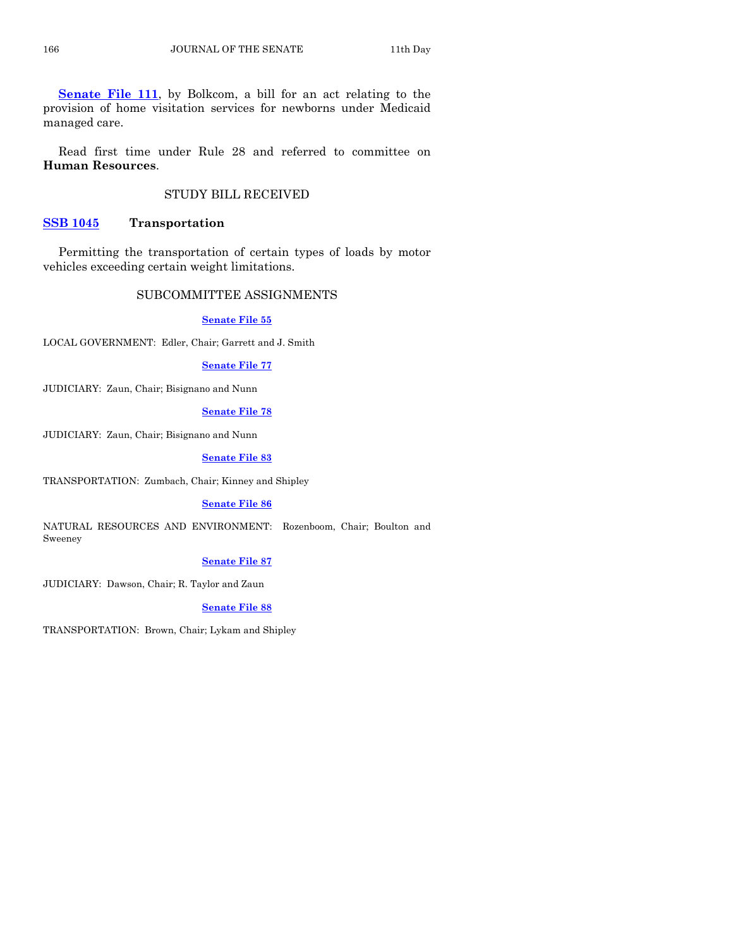**[Senate File 111](https://www.legis.iowa.gov/legislation/BillBook?ga=88&ba=SF111)**, by Bolkcom, a bill for an act relating to the provision of home visitation services for newborns under Medicaid managed care.

Read first time under Rule 28 and referred to committee on **Human Resources**.

## STUDY BILL RECEIVED

## **[SSB 1045](https://www.legis.iowa.gov/legislation/BillBook?ga=88&ba=SSB1045) Transportation**

Permitting the transportation of certain types of loads by motor vehicles exceeding certain weight limitations.

## SUBCOMMITTEE ASSIGNMENTS

## **[Senate File 55](https://www.legis.iowa.gov/legislation/BillBook?ga=88&ba=SF55)**

LOCAL GOVERNMENT: Edler, Chair; Garrett and J. Smith

## **[Senate File 77](https://www.legis.iowa.gov/legislation/BillBook?ga=88&ba=SF77)**

JUDICIARY: Zaun, Chair; Bisignano and Nunn

## **[Senate File 78](https://www.legis.iowa.gov/legislation/BillBook?ga=88&ba=SF78)**

JUDICIARY: Zaun, Chair; Bisignano and Nunn

## **[Senate File 83](https://www.legis.iowa.gov/legislation/BillBook?ga=88&ba=SF83)**

TRANSPORTATION: Zumbach, Chair; Kinney and Shipley

#### **[Senate File 86](https://www.legis.iowa.gov/legislation/BillBook?ga=88&ba=SF86)**

NATURAL RESOURCES AND ENVIRONMENT: Rozenboom, Chair; Boulton and Sweeney

#### **[Senate File 87](https://www.legis.iowa.gov/legislation/BillBook?ga=88&ba=SF87)**

JUDICIARY: Dawson, Chair; R. Taylor and Zaun

## **[Senate File 88](https://www.legis.iowa.gov/legislation/BillBook?ga=88&ba=SF88)**

TRANSPORTATION: Brown, Chair; Lykam and Shipley